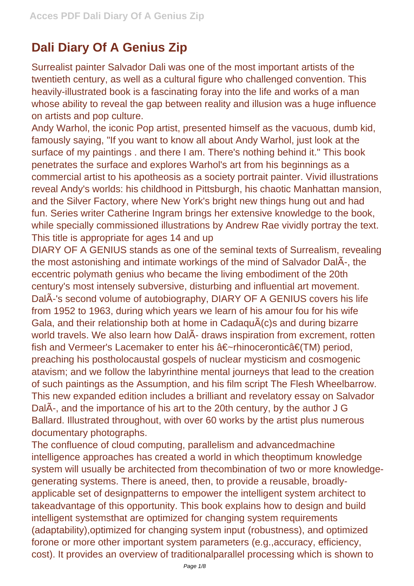## **Dali Diary Of A Genius Zip**

Surrealist painter Salvador Dali was one of the most important artists of the twentieth century, as well as a cultural figure who challenged convention. This heavily-illustrated book is a fascinating foray into the life and works of a man whose ability to reveal the gap between reality and illusion was a huge influence on artists and pop culture.

Andy Warhol, the iconic Pop artist, presented himself as the vacuous, dumb kid, famously saying, "If you want to know all about Andy Warhol, just look at the surface of my paintings . and there I am. There's nothing behind it." This book penetrates the surface and explores Warhol's art from his beginnings as a commercial artist to his apotheosis as a society portrait painter. Vivid illustrations reveal Andy's worlds: his childhood in Pittsburgh, his chaotic Manhattan mansion, and the Silver Factory, where New York's bright new things hung out and had fun. Series writer Catherine Ingram brings her extensive knowledge to the book, while specially commissioned illustrations by Andrew Rae vividly portray the text. This title is appropriate for ages 14 and up

DIARY OF A GENIUS stands as one of the seminal texts of Surrealism, revealing the most astonishing and intimate workings of the mind of Salvador DalÃ-, the eccentric polymath genius who became the living embodiment of the 20th century's most intensely subversive, disturbing and influential art movement. DalÃ-'s second volume of autobiography, DIARY OF A GENIUS covers his life from 1952 to 1963, during which years we learn of his amour fou for his wife Gala, and their relationship both at home in CadaquÃ(c)s and during bizarre world travels. We also learn how DalÃ- draws inspiration from excrement, rotten fish and Vermeer's Lacemaker to enter his â€~rhinoceronticâ€(TM) period, preaching his postholocaustal gospels of nuclear mysticism and cosmogenic atavism; and we follow the labyrinthine mental journeys that lead to the creation of such paintings as the Assumption, and his film script The Flesh Wheelbarrow. This new expanded edition includes a brilliant and revelatory essay on Salvador DalÃ-, and the importance of his art to the 20th century, by the author J G Ballard. Illustrated throughout, with over 60 works by the artist plus numerous documentary photographs.

The confluence of cloud computing, parallelism and advancedmachine intelligence approaches has created a world in which theoptimum knowledge system will usually be architected from thecombination of two or more knowledgegenerating systems. There is aneed, then, to provide a reusable, broadlyapplicable set of designpatterns to empower the intelligent system architect to takeadvantage of this opportunity. This book explains how to design and build intelligent systemsthat are optimized for changing system requirements (adaptability),optimized for changing system input (robustness), and optimized forone or more other important system parameters (e.g.,accuracy, efficiency, cost). It provides an overview of traditionalparallel processing which is shown to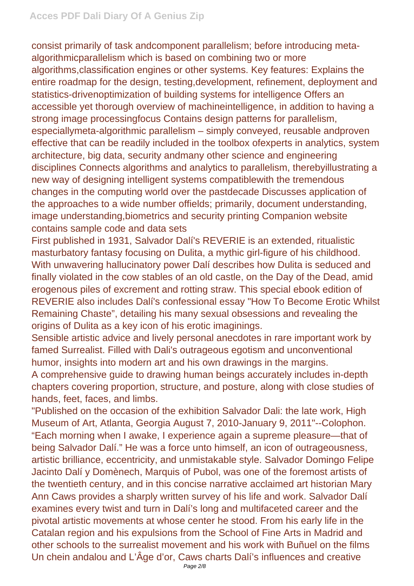consist primarily of task andcomponent parallelism; before introducing metaalgorithmicparallelism which is based on combining two or more algorithms,classification engines or other systems. Key features: Explains the entire roadmap for the design, testing,development, refinement, deployment and statistics-drivenoptimization of building systems for intelligence Offers an accessible yet thorough overview of machineintelligence, in addition to having a strong image processingfocus Contains design patterns for parallelism, especiallymeta-algorithmic parallelism – simply conveyed, reusable andproven effective that can be readily included in the toolbox ofexperts in analytics, system architecture, big data, security andmany other science and engineering disciplines Connects algorithms and analytics to parallelism, therebyillustrating a new way of designing intelligent systems compatiblewith the tremendous changes in the computing world over the pastdecade Discusses application of the approaches to a wide number offields; primarily, document understanding, image understanding,biometrics and security printing Companion website contains sample code and data sets

First published in 1931, Salvador Dalí's REVERIE is an extended, ritualistic masturbatory fantasy focusing on Dulita, a mythic girl-figure of his childhood. With unwavering hallucinatory power Dalí describes how Dulita is seduced and finally violated in the cow stables of an old castle, on the Day of the Dead, amid erogenous piles of excrement and rotting straw. This special ebook edition of REVERIE also includes Dalí's confessional essay "How To Become Erotic Whilst Remaining Chaste", detailing his many sexual obsessions and revealing the origins of Dulita as a key icon of his erotic imaginings.

Sensible artistic advice and lively personal anecdotes in rare important work by famed Surrealist. Filled with Dali's outrageous egotism and unconventional humor, insights into modern art and his own drawings in the margins.

A comprehensive guide to drawing human beings accurately includes in-depth chapters covering proportion, structure, and posture, along with close studies of hands, feet, faces, and limbs.

"Published on the occasion of the exhibition Salvador Dali: the late work, High Museum of Art, Atlanta, Georgia August 7, 2010-January 9, 2011"--Colophon. "Each morning when I awake, I experience again a supreme pleasure—that of being Salvador Dalí." He was a force unto himself, an icon of outrageousness, artistic brilliance, eccentricity, and unmistakable style. Salvador Domingo Felipe Jacinto Dalí y Domènech, Marquis of Pubol, was one of the foremost artists of the twentieth century, and in this concise narrative acclaimed art historian Mary Ann Caws provides a sharply written survey of his life and work. Salvador Dalí examines every twist and turn in Dalí's long and multifaceted career and the pivotal artistic movements at whose center he stood. From his early life in the Catalan region and his expulsions from the School of Fine Arts in Madrid and other schools to the surrealist movement and his work with Buñuel on the films Un chein andalou and L'Âge d'or, Caws charts Dalí's influences and creative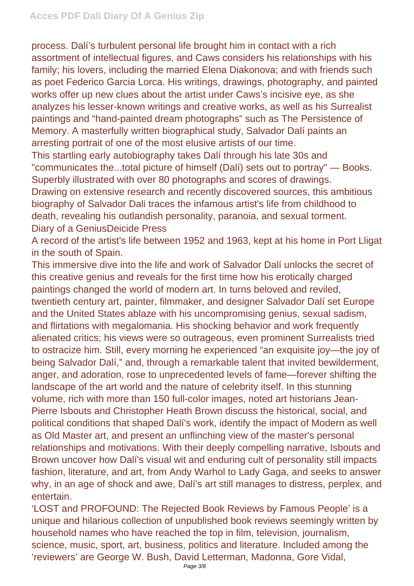process. Dalí's turbulent personal life brought him in contact with a rich assortment of intellectual figures, and Caws considers his relationships with his family; his lovers, including the married Elena Diakonova; and with friends such as poet Federico Garcia Lorca. His writings, drawings, photography, and painted works offer up new clues about the artist under Caws's incisive eye, as she analyzes his lesser-known writings and creative works, as well as his Surrealist paintings and "hand-painted dream photographs" such as The Persistence of Memory. A masterfully written biographical study, Salvador Dalí paints an arresting portrait of one of the most elusive artists of our time.

This startling early autobiography takes Dalí through his late 30s and "communicates the...total picture of himself (Dalí) sets out to portray" — Books. Superbly illustrated with over 80 photographs and scores of drawings.

Drawing on extensive research and recently discovered sources, this ambitious biography of Salvador Dali traces the infamous artist's life from childhood to death, revealing his outlandish personality, paranoia, and sexual torment. Diary of a GeniusDeicide Press

A record of the artist's life between 1952 and 1963, kept at his home in Port Lligat in the south of Spain.

This immersive dive into the life and work of Salvador Dalí unlocks the secret of this creative genius and reveals for the first time how his erotically charged paintings changed the world of modern art. In turns beloved and reviled, twentieth century art, painter, filmmaker, and designer Salvador Dalí set Europe and the United States ablaze with his uncompromising genius, sexual sadism, and flirtations with megalomania. His shocking behavior and work frequently alienated critics; his views were so outrageous, even prominent Surrealists tried to ostracize him. Still, every morning he experienced "an exquisite joy—the joy of being Salvador Dalí," and, through a remarkable talent that invited bewilderment, anger, and adoration, rose to unprecedented levels of fame—forever shifting the landscape of the art world and the nature of celebrity itself. In this stunning volume, rich with more than 150 full-color images, noted art historians Jean-Pierre Isbouts and Christopher Heath Brown discuss the historical, social, and political conditions that shaped Dalí's work, identify the impact of Modern as well as Old Master art, and present an unflinching view of the master's personal relationships and motivations. With their deeply compelling narrative, Isbouts and Brown uncover how Dalí's visual wit and enduring cult of personality still impacts fashion, literature, and art, from Andy Warhol to Lady Gaga, and seeks to answer why, in an age of shock and awe, Dalí's art still manages to distress, perplex, and entertain.

'LOST and PROFOUND: The Rejected Book Reviews by Famous People' is a unique and hilarious collection of unpublished book reviews seemingly written by household names who have reached the top in film, television, journalism, science, music, sport, art, business, politics and literature. Included among the 'reviewers' are George W. Bush, David Letterman, Madonna, Gore Vidal,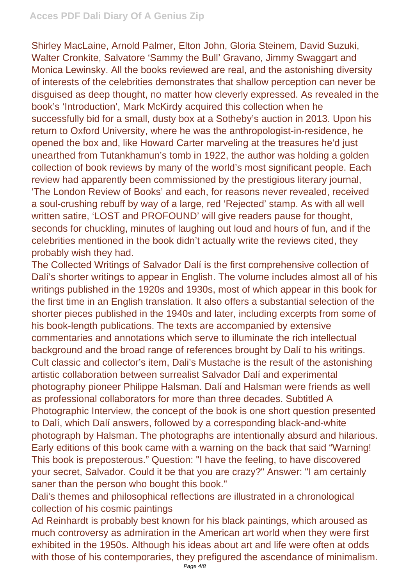Shirley MacLaine, Arnold Palmer, Elton John, Gloria Steinem, David Suzuki, Walter Cronkite, Salvatore 'Sammy the Bull' Gravano, Jimmy Swaggart and Monica Lewinsky. All the books reviewed are real, and the astonishing diversity of interests of the celebrities demonstrates that shallow perception can never be disguised as deep thought, no matter how cleverly expressed. As revealed in the book's 'Introduction', Mark McKirdy acquired this collection when he successfully bid for a small, dusty box at a Sotheby's auction in 2013. Upon his return to Oxford University, where he was the anthropologist-in-residence, he opened the box and, like Howard Carter marveling at the treasures he'd just unearthed from Tutankhamun's tomb in 1922, the author was holding a golden collection of book reviews by many of the world's most significant people. Each review had apparently been commissioned by the prestigious literary journal, 'The London Review of Books' and each, for reasons never revealed, received a soul-crushing rebuff by way of a large, red 'Rejected' stamp. As with all well written satire, 'LOST and PROFOUND' will give readers pause for thought, seconds for chuckling, minutes of laughing out loud and hours of fun, and if the celebrities mentioned in the book didn't actually write the reviews cited, they probably wish they had.

The Collected Writings of Salvador Dalí is the first comprehensive collection of Dalí's shorter writings to appear in English. The volume includes almost all of his writings published in the 1920s and 1930s, most of which appear in this book for the first time in an English translation. It also offers a substantial selection of the shorter pieces published in the 1940s and later, including excerpts from some of his book-length publications. The texts are accompanied by extensive commentaries and annotations which serve to illuminate the rich intellectual background and the broad range of references brought by Dalí to his writings. Cult classic and collector's item, Dali's Mustache is the result of the astonishing artistic collaboration between surrealist Salvador Dalí and experimental photography pioneer Philippe Halsman. Dalí and Halsman were friends as well as professional collaborators for more than three decades. Subtitled A Photographic Interview, the concept of the book is one short question presented to Dalí, which Dalí answers, followed by a corresponding black-and-white photograph by Halsman. The photographs are intentionally absurd and hilarious. Early editions of this book came with a warning on the back that said "Warning! This book is preposterous." Question: "I have the feeling, to have discovered your secret, Salvador. Could it be that you are crazy?" Answer: "I am certainly saner than the person who bought this book."

Dali's themes and philosophical reflections are illustrated in a chronological collection of his cosmic paintings

Ad Reinhardt is probably best known for his black paintings, which aroused as much controversy as admiration in the American art world when they were first exhibited in the 1950s. Although his ideas about art and life were often at odds with those of his contemporaries, they prefigured the ascendance of minimalism.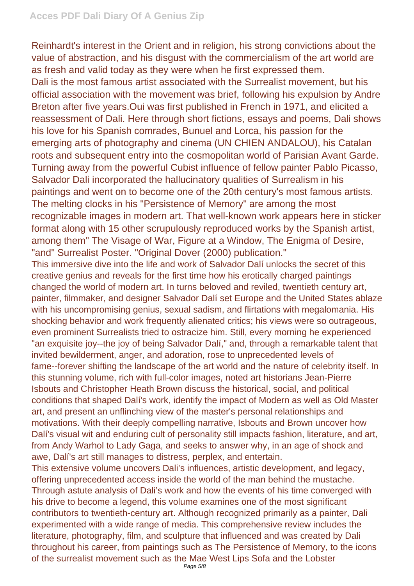Reinhardt's interest in the Orient and in religion, his strong convictions about the value of abstraction, and his disgust with the commercialism of the art world are as fresh and valid today as they were when he first expressed them.

Dali is the most famous artist associated with the Surrealist movement, but his official association with the movement was brief, following his expulsion by Andre Breton after five years.Oui was first published in French in 1971, and elicited a reassessment of Dali. Here through short fictions, essays and poems, Dali shows his love for his Spanish comrades, Bunuel and Lorca, his passion for the emerging arts of photography and cinema (UN CHIEN ANDALOU), his Catalan roots and subsequent entry into the cosmopolitan world of Parisian Avant Garde. Turning away from the powerful Cubist influence of fellow painter Pablo Picasso, Salvador Dali incorporated the hallucinatory qualities of Surrealism in his paintings and went on to become one of the 20th century's most famous artists. The melting clocks in his "Persistence of Memory" are among the most recognizable images in modern art. That well-known work appears here in sticker format along with 15 other scrupulously reproduced works by the Spanish artist, among them" The Visage of War, Figure at a Window, The Enigma of Desire, "and" Surrealist Poster. "Original Dover (2000) publication."

This immersive dive into the life and work of Salvador Dalí unlocks the secret of this creative genius and reveals for the first time how his erotically charged paintings changed the world of modern art. In turns beloved and reviled, twentieth century art, painter, filmmaker, and designer Salvador Dalí set Europe and the United States ablaze with his uncompromising genius, sexual sadism, and flirtations with megalomania. His shocking behavior and work frequently alienated critics; his views were so outrageous, even prominent Surrealists tried to ostracize him. Still, every morning he experienced "an exquisite joy--the joy of being Salvador Dalí," and, through a remarkable talent that invited bewilderment, anger, and adoration, rose to unprecedented levels of fame--forever shifting the landscape of the art world and the nature of celebrity itself. In this stunning volume, rich with full-color images, noted art historians Jean-Pierre Isbouts and Christopher Heath Brown discuss the historical, social, and political conditions that shaped Dalí's work, identify the impact of Modern as well as Old Master art, and present an unflinching view of the master's personal relationships and motivations. With their deeply compelling narrative, Isbouts and Brown uncover how Dalí's visual wit and enduring cult of personality still impacts fashion, literature, and art, from Andy Warhol to Lady Gaga, and seeks to answer why, in an age of shock and awe, Dalí's art still manages to distress, perplex, and entertain.

This extensive volume uncovers Dali's influences, artistic development, and legacy, offering unprecedented access inside the world of the man behind the mustache. Through astute analysis of Dali's work and how the events of his time converged with his drive to become a legend, this volume examines one of the most significant contributors to twentieth-century art. Although recognized primarily as a painter, Dali experimented with a wide range of media. This comprehensive review includes the literature, photography, film, and sculpture that influenced and was created by Dali throughout his career, from paintings such as The Persistence of Memory, to the icons of the surrealist movement such as the Mae West Lips Sofa and the Lobster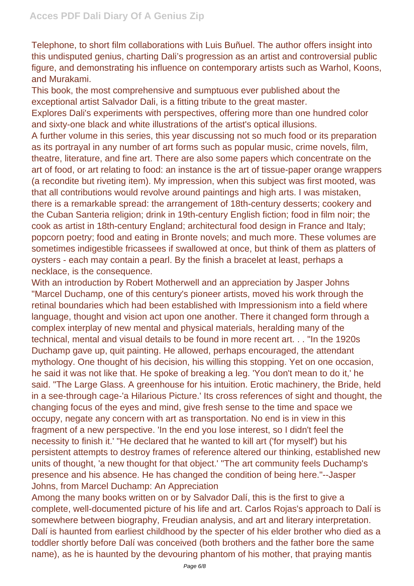Telephone, to short film collaborations with Luis Buñuel. The author offers insight into this undisputed genius, charting Dali's progression as an artist and controversial public figure, and demonstrating his influence on contemporary artists such as Warhol, Koons, and Murakami.

This book, the most comprehensive and sumptuous ever published about the exceptional artist Salvador Dali, is a fitting tribute to the great master. Explores Dali's experiments with perspectives, offering more than one hundred color and sixty-one black and white illustrations of the artist's optical illusions.

A further volume in this series, this year discussing not so much food or its preparation as its portrayal in any number of art forms such as popular music, crime novels, film, theatre, literature, and fine art. There are also some papers which concentrate on the art of food, or art relating to food: an instance is the art of tissue-paper orange wrappers (a recondite but riveting item). My impression, when this subject was first mooted, was that all contributions would revolve around paintings and high arts. I was mistaken, there is a remarkable spread: the arrangement of 18th-century desserts; cookery and the Cuban Santeria religion; drink in 19th-century English fiction; food in film noir; the cook as artist in 18th-century England; architectural food design in France and Italy; popcorn poetry; food and eating in Bronte novels; and much more. These volumes are sometimes indigestible fricassees if swallowed at once, but think of them as platters of oysters - each may contain a pearl. By the finish a bracelet at least, perhaps a necklace, is the consequence.

With an introduction by Robert Motherwell and an appreciation by Jasper Johns "Marcel Duchamp, one of this century's pioneer artists, moved his work through the retinal boundaries which had been established with Impressionism into a field where language, thought and vision act upon one another. There it changed form through a complex interplay of new mental and physical materials, heralding many of the technical, mental and visual details to be found in more recent art. . . "In the 1920s Duchamp gave up, quit painting. He allowed, perhaps encouraged, the attendant mythology. One thought of his decision, his willing this stopping. Yet on one occasion, he said it was not like that. He spoke of breaking a leg. 'You don't mean to do it,' he said. "The Large Glass. A greenhouse for his intuition. Erotic machinery, the Bride, held in a see-through cage-'a Hilarious Picture.' Its cross references of sight and thought, the changing focus of the eyes and mind, give fresh sense to the time and space we occupy, negate any concern with art as transportation. No end is in view in this fragment of a new perspective. 'In the end you lose interest, so I didn't feel the necessity to finish it.' "He declared that he wanted to kill art ('for myself') but his persistent attempts to destroy frames of reference altered our thinking, established new units of thought, 'a new thought for that object.' "The art community feels Duchamp's presence and his absence. He has changed the condition of being here."--Jasper Johns, from Marcel Duchamp: An Appreciation

Among the many books written on or by Salvador Dalí, this is the first to give a complete, well-documented picture of his life and art. Carlos Rojas's approach to Dalí is somewhere between biography, Freudian analysis, and art and literary interpretation. Dalí is haunted from earliest childhood by the specter of his elder brother who died as a toddler shortly before Dalí was conceived (both brothers and the father bore the same name), as he is haunted by the devouring phantom of his mother, that praying mantis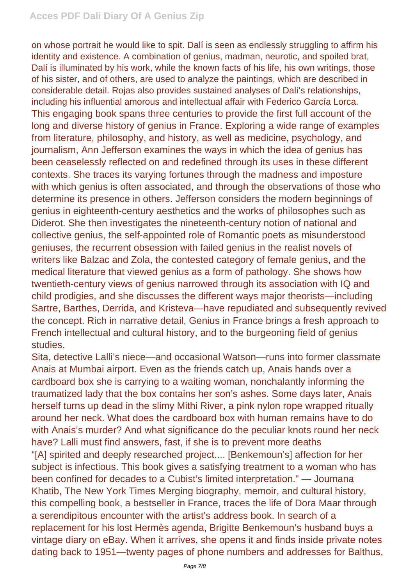on whose portrait he would like to spit. Dalí is seen as endlessly struggling to affirm his identity and existence. A combination of genius, madman, neurotic, and spoiled brat, Dalí is illuminated by his work, while the known facts of his life, his own writings, those of his sister, and of others, are used to analyze the paintings, which are described in considerable detail. Rojas also provides sustained analyses of Dalí's relationships, including his influential amorous and intellectual affair with Federico García Lorca. This engaging book spans three centuries to provide the first full account of the long and diverse history of genius in France. Exploring a wide range of examples from literature, philosophy, and history, as well as medicine, psychology, and journalism, Ann Jefferson examines the ways in which the idea of genius has been ceaselessly reflected on and redefined through its uses in these different contexts. She traces its varying fortunes through the madness and imposture with which genius is often associated, and through the observations of those who determine its presence in others. Jefferson considers the modern beginnings of genius in eighteenth-century aesthetics and the works of philosophes such as Diderot. She then investigates the nineteenth-century notion of national and collective genius, the self-appointed role of Romantic poets as misunderstood geniuses, the recurrent obsession with failed genius in the realist novels of writers like Balzac and Zola, the contested category of female genius, and the medical literature that viewed genius as a form of pathology. She shows how twentieth-century views of genius narrowed through its association with IQ and child prodigies, and she discusses the different ways major theorists—including Sartre, Barthes, Derrida, and Kristeva—have repudiated and subsequently revived the concept. Rich in narrative detail, Genius in France brings a fresh approach to French intellectual and cultural history, and to the burgeoning field of genius studies.

Sita, detective Lalli's niece—and occasional Watson—runs into former classmate Anais at Mumbai airport. Even as the friends catch up, Anais hands over a cardboard box she is carrying to a waiting woman, nonchalantly informing the traumatized lady that the box contains her son's ashes. Some days later, Anais herself turns up dead in the slimy Mithi River, a pink nylon rope wrapped ritually around her neck. What does the cardboard box with human remains have to do with Anais's murder? And what significance do the peculiar knots round her neck have? Lalli must find answers, fast, if she is to prevent more deaths "[A] spirited and deeply researched project.... [Benkemoun's] affection for her subject is infectious. This book gives a satisfying treatment to a woman who has been confined for decades to a Cubist's limited interpretation." — Joumana Khatib, The New York Times Merging biography, memoir, and cultural history, this compelling book, a bestseller in France, traces the life of Dora Maar through a serendipitous encounter with the artist's address book. In search of a replacement for his lost Hermès agenda, Brigitte Benkemoun's husband buys a vintage diary on eBay. When it arrives, she opens it and finds inside private notes dating back to 1951—twenty pages of phone numbers and addresses for Balthus,